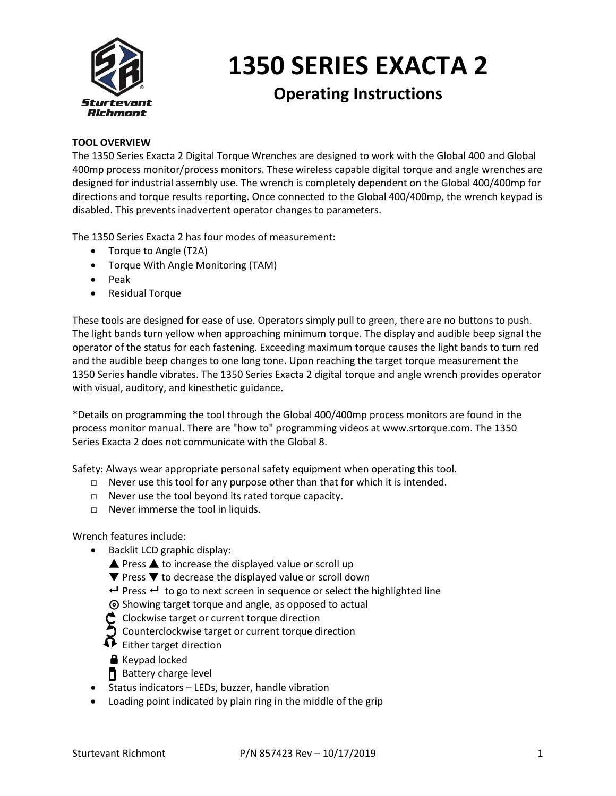

# **1350 SERIES EXACTA 2**

# **Operating Instructions**

# **TOOL OVERVIEW**

The 1350 Series Exacta 2 Digital Torque Wrenches are designed to work with the Global 400 and Global 400mp process monitor/process monitors. These wireless capable digital torque and angle wrenches are designed for industrial assembly use. The wrench is completely dependent on the Global 400/400mp for directions and torque results reporting. Once connected to the Global 400/400mp, the wrench keypad is disabled. This prevents inadvertent operator changes to parameters.

The 1350 Series Exacta 2 has four modes of measurement:

- Torque to Angle (T2A)
- Torque With Angle Monitoring (TAM)
- Peak
- Residual Torque

These tools are designed for ease of use. Operators simply pull to green, there are no buttons to push. The light bands turn yellow when approaching minimum torque. The display and audible beep signal the operator of the status for each fastening. Exceeding maximum torque causes the light bands to turn red and the audible beep changes to one long tone. Upon reaching the target torque measurement the 1350 Series handle vibrates. The 1350 Series Exacta 2 digital torque and angle wrench provides operator with visual, auditory, and kinesthetic guidance.

\*Details on programming the tool through the Global 400/400mp process monitors are found in the process monitor manual. There are "how to" programming videos at www.srtorque.com. The 1350 Series Exacta 2 does not communicate with the Global 8.

Safety: Always wear appropriate personal safety equipment when operating this tool.

- $\Box$  Never use this tool for any purpose other than that for which it is intended.
- □ Never use the tool beyond its rated torque capacity.
- □ Never immerse the tool in liquids.

Wrench features include:

- Backlit LCD graphic display:
	- $\triangle$  Press  $\triangle$  to increase the displayed value or scroll up
	- $\blacktriangledown$  Press  $\nabla$  to decrease the displayed value or scroll down
	- $\leftarrow$  Press  $\leftarrow$  to go to next screen in sequence or select the highlighted line

⊚ Showing target torque and angle, as opposed to actual

- Clockwise target or current torque direction
- Counterclockwise target or current torque direction
- $\mathbf \Theta$  Either target direction
- **Keypad locked**
- **Battery charge level**
- Status indicators LEDs, buzzer, handle vibration
- Loading point indicated by plain ring in the middle of the grip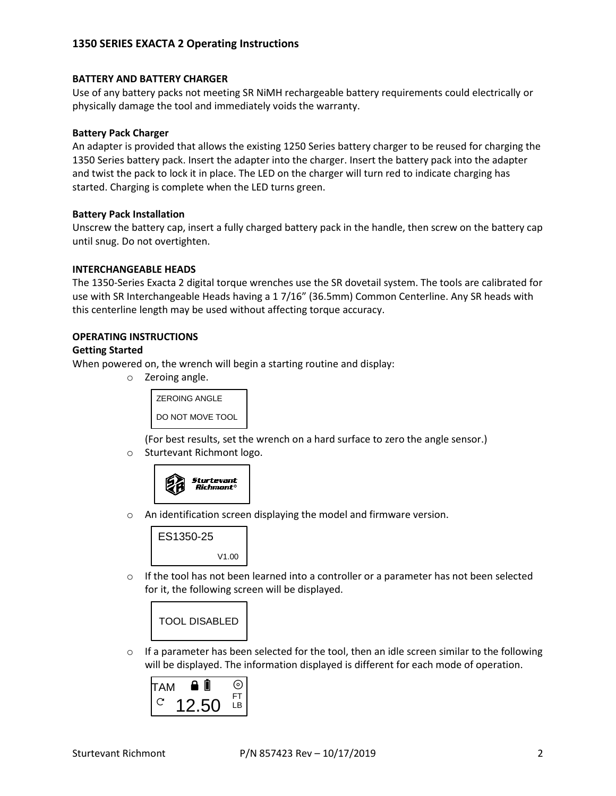#### **BATTERY AND BATTERY CHARGER**

Use of any battery packs not meeting SR NiMH rechargeable battery requirements could electrically or physically damage the tool and immediately voids the warranty.

#### **Battery Pack Charger**

An adapter is provided that allows the existing 1250 Series battery charger to be reused for charging the 1350 Series battery pack. Insert the adapter into the charger. Insert the battery pack into the adapter and twist the pack to lock it in place. The LED on the charger will turn red to indicate charging has started. Charging is complete when the LED turns green.

#### **Battery Pack Installation**

Unscrew the battery cap, insert a fully charged battery pack in the handle, then screw on the battery cap until snug. Do not overtighten.

#### **INTERCHANGEABLE HEADS**

The 1350-Series Exacta 2 digital torque wrenches use the SR dovetail system. The tools are calibrated for use with SR Interchangeable Heads having a 1 7/16" (36.5mm) Common Centerline. Any SR heads with this centerline length may be used without affecting torque accuracy.

#### **OPERATING INSTRUCTIONS**

#### **Getting Started**

When powered on, the wrench will begin a starting routine and display:

o Zeroing angle.

 ZEROING ANGLE DO NOT MOVE TOOL

(For best results, set the wrench on a hard surface to zero the angle sensor.)

o Sturtevant Richmont logo.



o An identification screen displaying the model and firmware version.



 $\circ$  If the tool has not been learned into a controller or a parameter has not been selected for it, the following screen will be displayed.



 $\circ$  If a parameter has been selected for the tool, then an idle screen similar to the following will be displayed. The information displayed is different for each mode of operation.

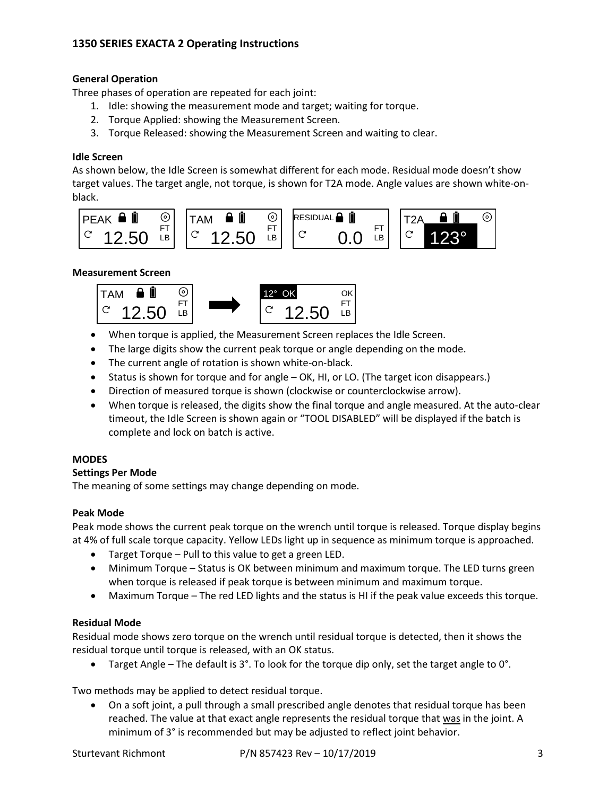## **General Operation**

Three phases of operation are repeated for each joint:

- 1. Idle: showing the measurement mode and target; waiting for torque.
- 2. Torque Applied: showing the Measurement Screen.
- 3. Torque Released: showing the Measurement Screen and waiting to clear.

#### **Idle Screen**

As shown below, the Idle Screen is somewhat different for each mode. Residual mode doesn't show target values. The target angle, not torque, is shown for T2A mode. Angle values are shown white-onblack.



#### **Measurement Screen**



- When torque is applied, the Measurement Screen replaces the Idle Screen.
- The large digits show the current peak torque or angle depending on the mode.
- The current angle of rotation is shown white-on-black.
- Status is shown for torque and for angle OK, HI, or LO. (The target icon disappears.)
- Direction of measured torque is shown (clockwise or counterclockwise arrow).
- When torque is released, the digits show the final torque and angle measured. At the auto-clear timeout, the Idle Screen is shown again or "TOOL DISABLED" will be displayed if the batch is complete and lock on batch is active.

#### **MODES**

#### **Settings Per Mode**

The meaning of some settings may change depending on mode.

#### **Peak Mode**

Peak mode shows the current peak torque on the wrench until torque is released. Torque display begins at 4% of full scale torque capacity. Yellow LEDs light up in sequence as minimum torque is approached.

- Target Torque Pull to this value to get a green LED.
- Minimum Torque Status is OK between minimum and maximum torque. The LED turns green when torque is released if peak torque is between minimum and maximum torque.
- Maximum Torque The red LED lights and the status is HI if the peak value exceeds this torque.

#### **Residual Mode**

Residual mode shows zero torque on the wrench until residual torque is detected, then it shows the residual torque until torque is released, with an OK status.

Target Angle – The default is 3°. To look for the torque dip only, set the target angle to 0°.

Two methods may be applied to detect residual torque.

 On a soft joint, a pull through a small prescribed angle denotes that residual torque has been reached. The value at that exact angle represents the residual torque that was in the joint. A minimum of 3° is recommended but may be adjusted to reflect joint behavior.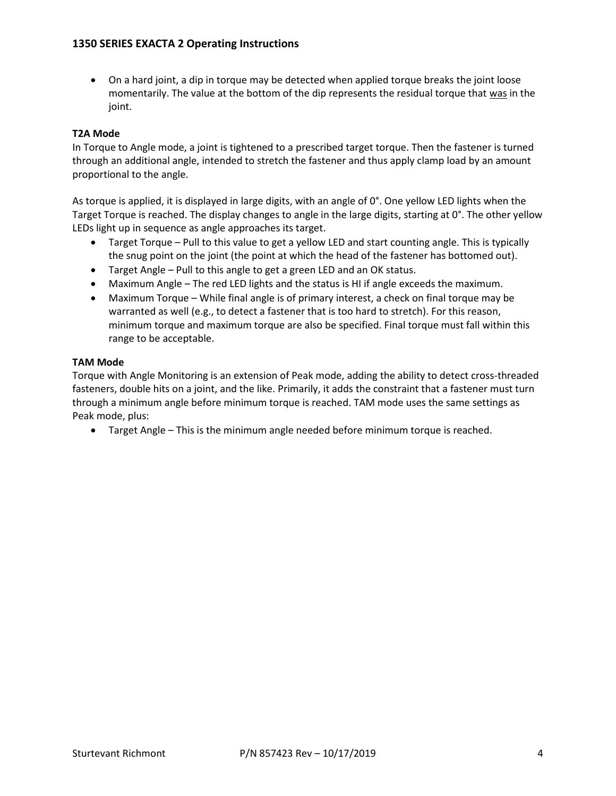On a hard joint, a dip in torque may be detected when applied torque breaks the joint loose momentarily. The value at the bottom of the dip represents the residual torque that was in the joint.

#### **T2A Mode**

In Torque to Angle mode, a joint is tightened to a prescribed target torque. Then the fastener is turned through an additional angle, intended to stretch the fastener and thus apply clamp load by an amount proportional to the angle.

As torque is applied, it is displayed in large digits, with an angle of 0°. One yellow LED lights when the Target Torque is reached. The display changes to angle in the large digits, starting at 0°. The other yellow LEDs light up in sequence as angle approaches its target.

- Target Torque Pull to this value to get a yellow LED and start counting angle. This is typically the snug point on the joint (the point at which the head of the fastener has bottomed out).
- Target Angle Pull to this angle to get a green LED and an OK status.
- Maximum Angle The red LED lights and the status is HI if angle exceeds the maximum.
- Maximum Torque While final angle is of primary interest, a check on final torque may be warranted as well (e.g., to detect a fastener that is too hard to stretch). For this reason, minimum torque and maximum torque are also be specified. Final torque must fall within this range to be acceptable.

#### **TAM Mode**

Torque with Angle Monitoring is an extension of Peak mode, adding the ability to detect cross-threaded fasteners, double hits on a joint, and the like. Primarily, it adds the constraint that a fastener must turn through a minimum angle before minimum torque is reached. TAM mode uses the same settings as Peak mode, plus:

Target Angle – This is the minimum angle needed before minimum torque is reached.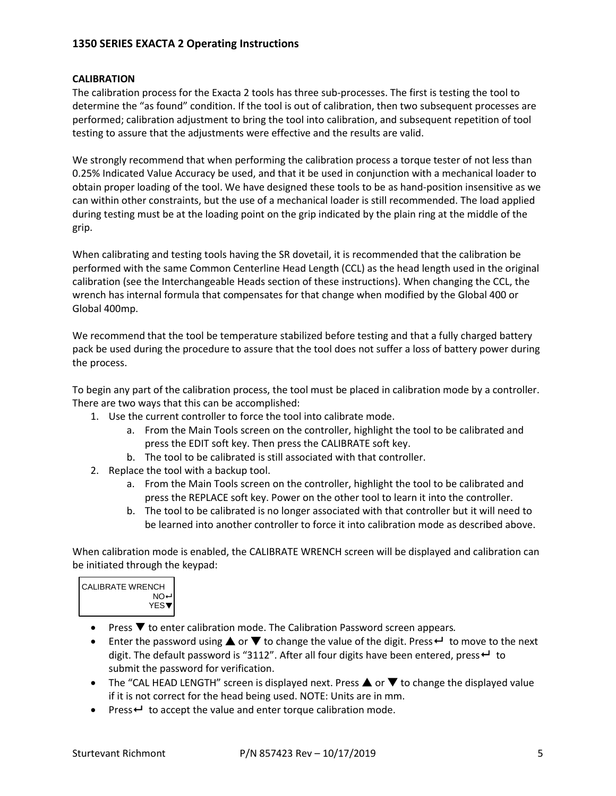#### **CALIBRATION**

The calibration process for the Exacta 2 tools has three sub-processes. The first is testing the tool to determine the "as found" condition. If the tool is out of calibration, then two subsequent processes are performed; calibration adjustment to bring the tool into calibration, and subsequent repetition of tool testing to assure that the adjustments were effective and the results are valid.

We strongly recommend that when performing the calibration process a torque tester of not less than 0.25% Indicated Value Accuracy be used, and that it be used in conjunction with a mechanical loader to obtain proper loading of the tool. We have designed these tools to be as hand-position insensitive as we can within other constraints, but the use of a mechanical loader is still recommended. The load applied during testing must be at the loading point on the grip indicated by the plain ring at the middle of the grip.

When calibrating and testing tools having the SR dovetail, it is recommended that the calibration be performed with the same Common Centerline Head Length (CCL) as the head length used in the original calibration (see the Interchangeable Heads section of these instructions). When changing the CCL, the wrench has internal formula that compensates for that change when modified by the Global 400 or Global 400mp.

We recommend that the tool be temperature stabilized before testing and that a fully charged battery pack be used during the procedure to assure that the tool does not suffer a loss of battery power during the process.

To begin any part of the calibration process, the tool must be placed in calibration mode by a controller. There are two ways that this can be accomplished:

- 1. Use the current controller to force the tool into calibrate mode.
	- a. From the Main Tools screen on the controller, highlight the tool to be calibrated and press the EDIT soft key. Then press the CALIBRATE soft key.
	- b. The tool to be calibrated is still associated with that controller.
- 2. Replace the tool with a backup tool.
	- a. From the Main Tools screen on the controller, highlight the tool to be calibrated and press the REPLACE soft key. Power on the other tool to learn it into the controller.
	- b. The tool to be calibrated is no longer associated with that controller but it will need to be learned into another controller to force it into calibration mode as described above.

When calibration mode is enabled, the CALIBRATE WRENCH screen will be displayed and calibration can be initiated through the keypad:

| <b>CALIBRATE WRENCH</b> |
|-------------------------|
| NO←                     |
| YFS▼                    |
|                         |

- Press ▼ to enter calibration mode. The Calibration Password screen appears.
- Enter the password using  $\triangle$  or  $\nabla$  to change the value of the digit. Press  $\vdash$  to move to the next digit. The default password is "3112". After all four digits have been entered, press $\leftrightarrow$  to submit the password for verification.
- The "CAL HEAD LENGTH" screen is displayed next. Press  $\triangle$  or  $\nabla$  to change the displayed value if it is not correct for the head being used. NOTE: Units are in mm.
- $\bullet$  Press  $\leftrightarrow$  to accept the value and enter torque calibration mode.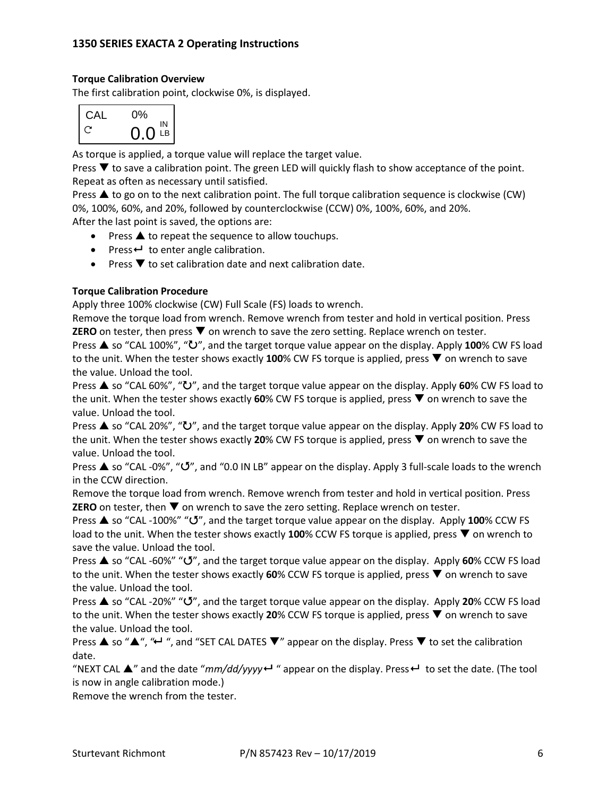#### **Torque Calibration Overview**

The first calibration point, clockwise 0%, is displayed.

| <b>CAL</b> | 0%       |
|------------|----------|
|            | IN<br>LB |

As torque is applied, a torque value will replace the target value.

Press  $\blacktriangledown$  to save a calibration point. The green LED will quickly flash to show acceptance of the point. Repeat as often as necessary until satisfied.

Press  $\triangle$  to go on to the next calibration point. The full torque calibration sequence is clockwise (CW) 0%, 100%, 60%, and 20%, followed by counterclockwise (CCW) 0%, 100%, 60%, and 20%. After the last point is saved, the options are:

 $\bullet$  Press  $\blacktriangle$  to repeat the sequence to allow touchups.

- Press  $\leftrightarrow$  to enter angle calibration.
- **•** Press  $\blacktriangledown$  to set calibration date and next calibration date.

#### **Torque Calibration Procedure**

Apply three 100% clockwise (CW) Full Scale (FS) loads to wrench.

Remove the torque load from wrench. Remove wrench from tester and hold in vertical position. Press **ZERO** on tester, then press  $\blacktriangledown$  on wrench to save the zero setting. Replace wrench on tester.

Press ▲ so "CAL 100%", "U", and the target torque value appear on the display. Apply **100**% CW FS load to the unit. When the tester shows exactly 100% CW FS torque is applied, press  $\blacktriangledown$  on wrench to save the value. Unload the tool.

Press ▲ so "CAL 60%", """, and the target torque value appear on the display. Apply 60% CW FS load to the unit. When the tester shows exactly 60% CW FS torque is applied, press  $\blacktriangledown$  on wrench to save the value. Unload the tool.

Press ▲ so "CAL 20%", "U", and the target torque value appear on the display. Apply 20% CW FS load to the unit. When the tester shows exactly **20%** CW FS torque is applied, press  $\blacktriangledown$  on wrench to save the value. Unload the tool.

Press  $\triangle$  so "CAL -0%", " $\bigcup$ ", and "0.0 IN LB" appear on the display. Apply 3 full-scale loads to the wrench in the CCW direction.

Remove the torque load from wrench. Remove wrench from tester and hold in vertical position. Press **ZERO** on tester, then  $\nabla$  on wrench to save the zero setting. Replace wrench on tester.

Press ▲ so "CAL -100%" ""O", and the target torque value appear on the display. Apply 100% CCW FS load to the unit. When the tester shows exactly **100**% CCW FS torque is applied, press ▼ on wrench to save the value. Unload the tool.

Press ▲ so "CAL -60%" "", and the target torque value appear on the display. Apply 60% CCW FS load to the unit. When the tester shows exactly 60% CCW FS torque is applied, press  $\blacktriangledown$  on wrench to save the value. Unload the tool.

Press ▲ so "CAL -20%" "**"**, and the target torque value appear on the display. Apply 20% CCW FS load to the unit. When the tester shows exactly 20% CCW FS torque is applied, press  $\blacktriangledown$  on wrench to save the value. Unload the tool.

Press  $\triangle$  so " $\triangle$ ", " $\leftrightarrow$ ", and "SET CAL DATES  $\nabla$ " appear on the display. Press  $\nabla$  to set the calibration date.

"NEXT CAL  $\triangle$ " and the date " $mm/dd/yyy$ y  $\leftrightarrow$ " appear on the display. Press  $\leftrightarrow$  to set the date. (The tool is now in angle calibration mode.)

Remove the wrench from the tester.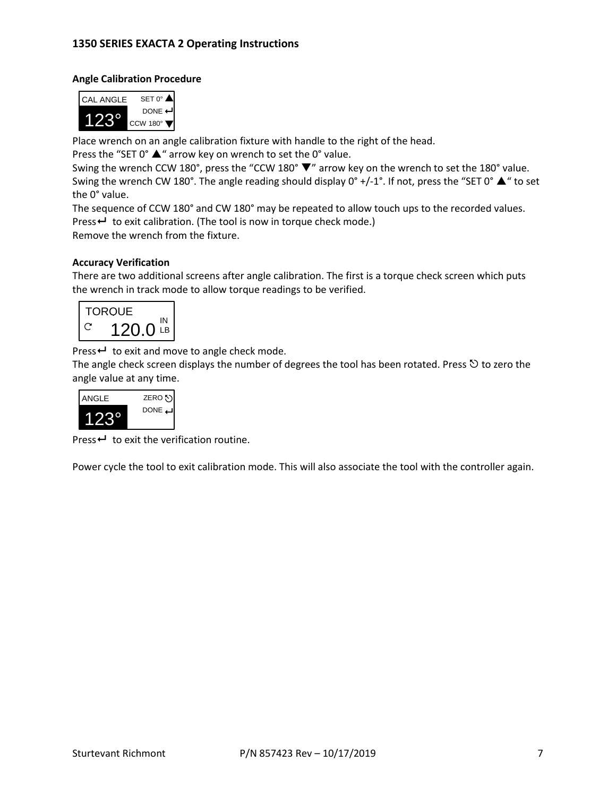#### **Angle Calibration Procedure**



Place wrench on an angle calibration fixture with handle to the right of the head.

Press the "SET  $0^{\circ}$   $\blacktriangle$ " arrow key on wrench to set the  $0^{\circ}$  value.

Swing the wrench CCW 180°, press the "CCW 180° ▼" arrow key on the wrench to set the 180° value. Swing the wrench CW 180°. The angle reading should display 0° +/-1°. If not, press the "SET 0°  $\blacktriangle$ " to set the 0° value.

The sequence of CCW 180° and CW 180° may be repeated to allow touch ups to the recorded values. Press  $\leftarrow$  to exit calibration. (The tool is now in torque check mode.) Remove the wrench from the fixture.

#### **Accuracy Verification**

There are two additional screens after angle calibration. The first is a torque check screen which puts the wrench in track mode to allow torque readings to be verified.



Press $\leftarrow$  to exit and move to angle check mode.

The angle check screen displays the number of degrees the tool has been rotated. Press  $\mathfrak d$  to zero the angle value at any time.



Press  $\leftarrow$  to exit the verification routine.

Power cycle the tool to exit calibration mode. This will also associate the tool with the controller again.